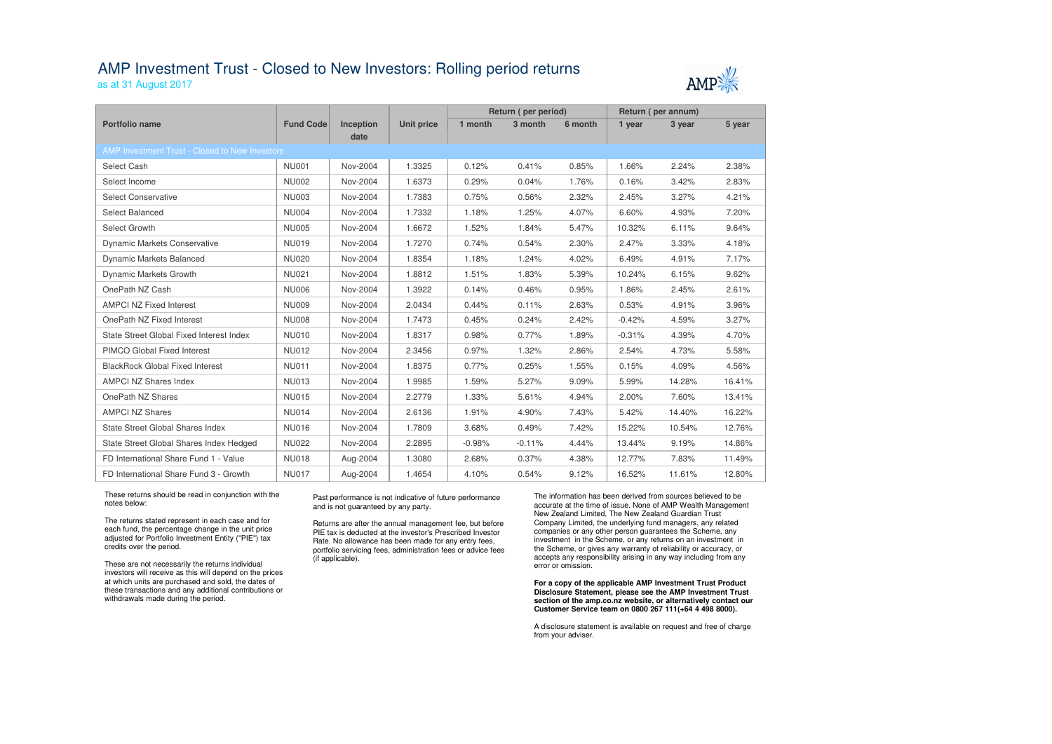## AMP Investment Trust - Closed to New Investors: Rolling period returns

as at 31 August 2017

|                                                |                  |                          |                   | Return (per period) |          |         | Return (per annum) |        |        |  |
|------------------------------------------------|------------------|--------------------------|-------------------|---------------------|----------|---------|--------------------|--------|--------|--|
| <b>Portfolio name</b>                          | <b>Fund Code</b> | <b>Inception</b><br>date | <b>Unit price</b> | 1 month             | 3 month  | 6 month | 1 year             | 3 year | 5 year |  |
| AMP Investment Trust - Closed to New Investors |                  |                          |                   |                     |          |         |                    |        |        |  |
| <b>Select Cash</b>                             | <b>NU001</b>     | Nov-2004                 | 1.3325            | 0.12%               | 0.41%    | 0.85%   | 1.66%              | 2.24%  | 2.38%  |  |
| Select Income                                  | <b>NU002</b>     | Nov-2004                 | 1.6373            | 0.29%               | 0.04%    | 1.76%   | 0.16%              | 3.42%  | 2.83%  |  |
| <b>Select Conservative</b>                     | <b>NU003</b>     | Nov-2004                 | 1.7383            | 0.75%               | 0.56%    | 2.32%   | 2.45%              | 3.27%  | 4.21%  |  |
| Select Balanced                                | <b>NU004</b>     | Nov-2004                 | 1.7332            | 1.18%               | 1.25%    | 4.07%   | 6.60%              | 4.93%  | 7.20%  |  |
| Select Growth                                  | <b>NU005</b>     | Nov-2004                 | 1.6672            | 1.52%               | 1.84%    | 5.47%   | 10.32%             | 6.11%  | 9.64%  |  |
| <b>Dynamic Markets Conservative</b>            | <b>NU019</b>     | Nov-2004                 | 1.7270            | 0.74%               | 0.54%    | 2.30%   | 2.47%              | 3.33%  | 4.18%  |  |
| <b>Dynamic Markets Balanced</b>                | <b>NU020</b>     | Nov-2004                 | 1.8354            | 1.18%               | 1.24%    | 4.02%   | 6.49%              | 4.91%  | 7.17%  |  |
| <b>Dynamic Markets Growth</b>                  | <b>NU021</b>     | Nov-2004                 | 1.8812            | 1.51%               | 1.83%    | 5.39%   | 10.24%             | 6.15%  | 9.62%  |  |
| OnePath NZ Cash                                | <b>NU006</b>     | Nov-2004                 | 1.3922            | 0.14%               | 0.46%    | 0.95%   | 1.86%              | 2.45%  | 2.61%  |  |
| <b>AMPCI NZ Fixed Interest</b>                 | <b>NU009</b>     | Nov-2004                 | 2.0434            | 0.44%               | 0.11%    | 2.63%   | 0.53%              | 4.91%  | 3.96%  |  |
| OnePath NZ Fixed Interest                      | <b>NU008</b>     | Nov-2004                 | 1.7473            | 0.45%               | 0.24%    | 2.42%   | $-0.42%$           | 4.59%  | 3.27%  |  |
| State Street Global Fixed Interest Index       | <b>NU010</b>     | Nov-2004                 | 1.8317            | 0.98%               | 0.77%    | 1.89%   | $-0.31%$           | 4.39%  | 4.70%  |  |
| PIMCO Global Fixed Interest                    | <b>NU012</b>     | Nov-2004                 | 2.3456            | 0.97%               | 1.32%    | 2.86%   | 2.54%              | 4.73%  | 5.58%  |  |
| <b>BlackRock Global Fixed Interest</b>         | <b>NU011</b>     | Nov-2004                 | 1.8375            | 0.77%               | 0.25%    | 1.55%   | 0.15%              | 4.09%  | 4.56%  |  |
| <b>AMPCI NZ Shares Index</b>                   | <b>NU013</b>     | Nov-2004                 | 1.9985            | 1.59%               | 5.27%    | 9.09%   | 5.99%              | 14.28% | 16.41% |  |
| OnePath NZ Shares                              | <b>NU015</b>     | Nov-2004                 | 2.2779            | 1.33%               | 5.61%    | 4.94%   | 2.00%              | 7.60%  | 13.41% |  |
| <b>AMPCI NZ Shares</b>                         | <b>NU014</b>     | Nov-2004                 | 2.6136            | 1.91%               | 4.90%    | 7.43%   | 5.42%              | 14.40% | 16.22% |  |
| State Street Global Shares Index               | <b>NU016</b>     | Nov-2004                 | 1.7809            | 3.68%               | 0.49%    | 7.42%   | 15.22%             | 10.54% | 12.76% |  |
| State Street Global Shares Index Hedged        | <b>NU022</b>     | Nov-2004                 | 2.2895            | $-0.98%$            | $-0.11%$ | 4.44%   | 13.44%             | 9.19%  | 14.86% |  |
| FD International Share Fund 1 - Value          | <b>NU018</b>     | Aug-2004                 | 1.3080            | 2.68%               | 0.37%    | 4.38%   | 12.77%             | 7.83%  | 11.49% |  |
|                                                |                  |                          |                   |                     |          |         |                    |        |        |  |

1.4654 4.10% 0.54% 9.12% 16.52% 11.61% 12.80%

These returns should be read in conjunction with the notes below:

FD International Share Fund 3 - Growth NU017 | Aug-2004

The returns stated represent in each case and for each fund, the percentage change in the unit price adjusted for Portfolio Investment Entity ("PIE") tax credits over the period.

These are not necessarily the returns individual investors will receive as this will depend on the prices at which units are purchased and sold, the dates of these transactions and any additional contributions or withdrawals made during the period.

#### Past performance is not indicative of future performance and is not guaranteed by any party.

Returns are after the annual management fee, but before PIE tax is deducted at the investor's Prescribed Investor Rate. No allowance has been made for any entry fees, portfolio servicing fees, administration fees or advice fees (if applicable).

The information has been derived from sources believed to be accurate at the time of issue. None of AMP Wealth Management New Zealand Limited, The New Zealand Guardian Trust Company Limited, the underlying fund managers, any related companies or any other person guarantees the Scheme, any investment in the Scheme, or any returns on an investment in the Scheme, or gives any warranty of reliability or accuracy, or accepts any responsibility arising in any way including from any error or omission.

### **For a copy of the applicable AMP Investment Trust Product Disclosure Statement, please see the AMP Investment Trust section of the amp.co.nz website, or alternatively contact our Customer Service team on 0800 267 111(+64 4 498 8000).**

A disclosure statement is available on request and free of charge from your adviser.



12.80%